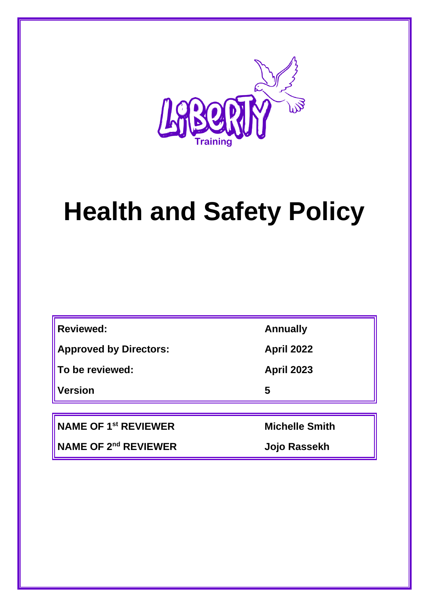

# **Health and Safety Policy**

| <b>Reviewed:</b> |  |
|------------------|--|
|                  |  |

**Approved by Directors: April 2022**

**To be reviewed: April 2023**

**Version 5**

**NAME OF 1st REVIEWER Michelle Smith**

**NAME OF 2nd REVIEWER Jojo Rassekh**

**Reviewed: Annually**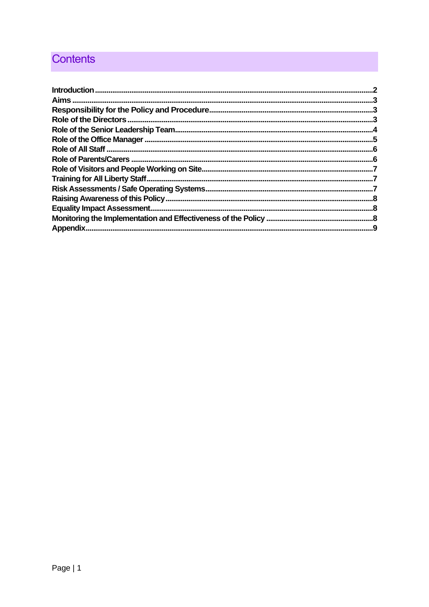# **Contents**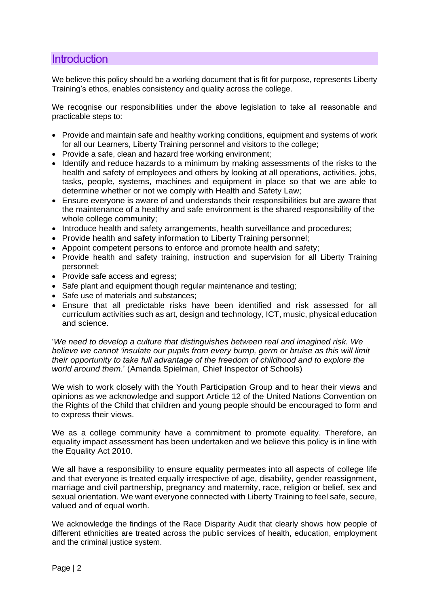#### <span id="page-2-0"></span>**Introduction**

We believe this policy should be a working document that is fit for purpose, represents Liberty Training's ethos, enables consistency and quality across the college.

We recognise our responsibilities under the above legislation to take all reasonable and practicable steps to:

- Provide and maintain safe and healthy working conditions, equipment and systems of work for all our Learners, Liberty Training personnel and visitors to the college;
- Provide a safe, clean and hazard free working environment;
- Identify and reduce hazards to a minimum by making assessments of the risks to the health and safety of employees and others by looking at all operations, activities, jobs, tasks, people, systems, machines and equipment in place so that we are able to determine whether or not we comply with Health and Safety Law;
- Ensure everyone is aware of and understands their responsibilities but are aware that the maintenance of a healthy and safe environment is the shared responsibility of the whole college community;
- Introduce health and safety arrangements, health surveillance and procedures;
- Provide health and safety information to Liberty Training personnel;
- Appoint competent persons to enforce and promote health and safety;
- Provide health and safety training, instruction and supervision for all Liberty Training personnel;
- Provide safe access and egress;
- Safe plant and equipment though regular maintenance and testing;
- Safe use of materials and substances;
- Ensure that all predictable risks have been identified and risk assessed for all curriculum activities such as art, design and technology, ICT, music, physical education and science.

'*We need to develop a culture that distinguishes between real and imagined risk. We believe we cannot 'insulate our pupils from every bump, germ or bruise as this will limit their opportunity to take full advantage of the freedom of childhood and to explore the world around them.*' (Amanda Spielman, Chief Inspector of Schools)

We wish to work closely with the Youth Participation Group and to hear their views and opinions as we acknowledge and support Article 12 of the United Nations Convention on the Rights of the Child that children and young people should be encouraged to form and to express their views.

We as a college community have a commitment to promote equality. Therefore, an equality impact assessment has been undertaken and we believe this policy is in line with the Equality Act 2010.

We all have a responsibility to ensure equality permeates into all aspects of college life and that everyone is treated equally irrespective of age, disability, gender reassignment, marriage and civil partnership, pregnancy and maternity, race, religion or belief, sex and sexual orientation. We want everyone connected with Liberty Training to feel safe, secure, valued and of equal worth.

We acknowledge the findings of the Race Disparity Audit that clearly shows how people of different ethnicities are treated across the public services of health, education, employment and the criminal justice system.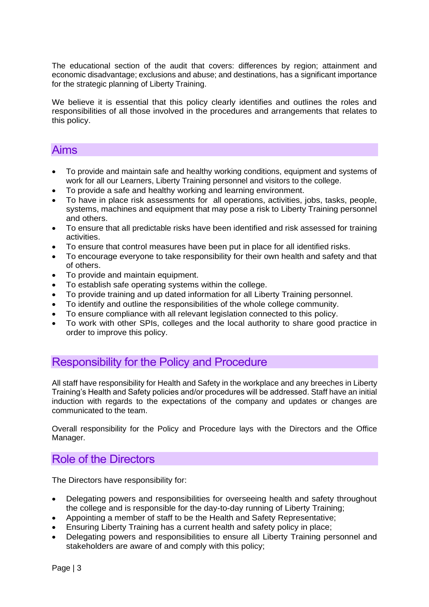The educational section of the audit that covers: differences by region; attainment and economic disadvantage; exclusions and abuse; and destinations, has a significant importance for the strategic planning of Liberty Training.

We believe it is essential that this policy clearly identifies and outlines the roles and responsibilities of all those involved in the procedures and arrangements that relates to this policy.

#### <span id="page-3-0"></span>Aims

- To provide and maintain safe and healthy working conditions, equipment and systems of work for all our Learners, Liberty Training personnel and visitors to the college.
- To provide a safe and healthy working and learning environment.
- To have in place risk assessments for all operations, activities, jobs, tasks, people, systems, machines and equipment that may pose a risk to Liberty Training personnel and others.
- To ensure that all predictable risks have been identified and risk assessed for training activities.
- To ensure that control measures have been put in place for all identified risks.
- To encourage everyone to take responsibility for their own health and safety and that of others.
- To provide and maintain equipment.
- To establish safe operating systems within the college.
- To provide training and up dated information for all Liberty Training personnel.
- To identify and outline the responsibilities of the whole college community.
- To ensure compliance with all relevant legislation connected to this policy.
- To work with other SPIs, colleges and the local authority to share good practice in order to improve this policy.

#### <span id="page-3-1"></span>Responsibility for the Policy and Procedure

All staff have responsibility for Health and Safety in the workplace and any breeches in Liberty Training's Health and Safety policies and/or procedures will be addressed. Staff have an initial induction with regards to the expectations of the company and updates or changes are communicated to the team.

Overall responsibility for the Policy and Procedure lays with the Directors and the Office Manager.

### <span id="page-3-2"></span>Role of the Directors

The Directors have responsibility for:

- Delegating powers and responsibilities for overseeing health and safety throughout the college and is responsible for the day-to-day running of Liberty Training;
- Appointing a member of staff to be the Health and Safety Representative;
- Ensuring Liberty Training has a current health and safety policy in place;
- Delegating powers and responsibilities to ensure all Liberty Training personnel and stakeholders are aware of and comply with this policy;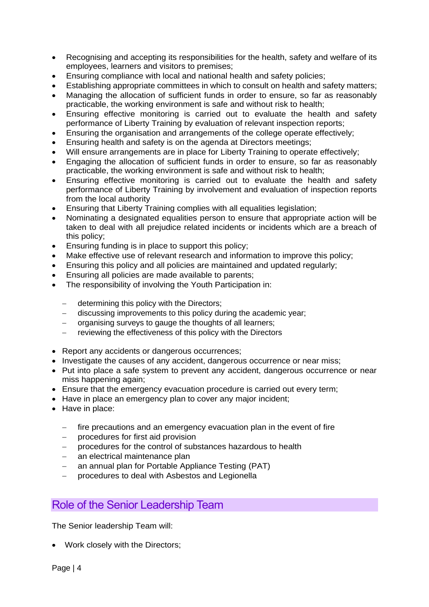- Recognising and accepting its responsibilities for the health, safety and welfare of its employees, learners and visitors to premises;
- Ensuring compliance with local and national health and safety policies;
- Establishing appropriate committees in which to consult on health and safety matters:
- Managing the allocation of sufficient funds in order to ensure, so far as reasonably practicable, the working environment is safe and without risk to health;
- Ensuring effective monitoring is carried out to evaluate the health and safety performance of Liberty Training by evaluation of relevant inspection reports;
- Ensuring the organisation and arrangements of the college operate effectively;
- Ensuring health and safety is on the agenda at Directors meetings;
- Will ensure arrangements are in place for Liberty Training to operate effectively;
- Engaging the allocation of sufficient funds in order to ensure, so far as reasonably practicable, the working environment is safe and without risk to health;
- Ensuring effective monitoring is carried out to evaluate the health and safety performance of Liberty Training by involvement and evaluation of inspection reports from the local authority
- Ensuring that Liberty Training complies with all equalities legislation;
- Nominating a designated equalities person to ensure that appropriate action will be taken to deal with all prejudice related incidents or incidents which are a breach of this policy;
- Ensuring funding is in place to support this policy;
- Make effective use of relevant research and information to improve this policy;
- Ensuring this policy and all policies are maintained and updated regularly;
- Ensuring all policies are made available to parents;
- The responsibility of involving the Youth Participation in:
	- − determining this policy with the Directors;
	- − discussing improvements to this policy during the academic year;
	- organising surveys to gauge the thoughts of all learners;
	- reviewing the effectiveness of this policy with the Directors
- Report any accidents or dangerous occurrences;
- Investigate the causes of any accident, dangerous occurrence or near miss;
- Put into place a safe system to prevent any accident, dangerous occurrence or near miss happening again;
- Ensure that the emergency evacuation procedure is carried out every term;
- Have in place an emergency plan to cover any major incident;
- Have in place:
	- fire precautions and an emergency evacuation plan in the event of fire
	- − procedures for first aid provision
	- − procedures for the control of substances hazardous to health
	- − an electrical maintenance plan
	- an annual plan for Portable Appliance Testing (PAT)
	- − procedures to deal with Asbestos and Legionella

#### <span id="page-4-0"></span>Role of the Senior Leadership Team

The Senior leadership Team will:

• Work closely with the Directors;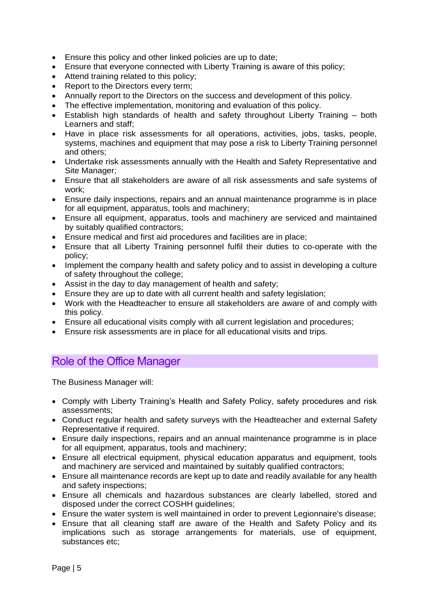- Ensure this policy and other linked policies are up to date;
- Ensure that everyone connected with Liberty Training is aware of this policy;
- Attend training related to this policy;
- Report to the Directors every term;
- Annually report to the Directors on the success and development of this policy.
- The effective implementation, monitoring and evaluation of this policy.
- Establish high standards of health and safety throughout Liberty Training both Learners and staff;
- Have in place risk assessments for all operations, activities, jobs, tasks, people, systems, machines and equipment that may pose a risk to Liberty Training personnel and others;
- Undertake risk assessments annually with the Health and Safety Representative and Site Manager;
- Ensure that all stakeholders are aware of all risk assessments and safe systems of work;
- Ensure daily inspections, repairs and an annual maintenance programme is in place for all equipment, apparatus, tools and machinery;
- Ensure all equipment, apparatus, tools and machinery are serviced and maintained by suitably qualified contractors;
- Ensure medical and first aid procedures and facilities are in place;
- Ensure that all Liberty Training personnel fulfil their duties to co-operate with the policy;
- Implement the company health and safety policy and to assist in developing a culture of safety throughout the college;
- Assist in the day to day management of health and safety;
- Ensure they are up to date with all current health and safety legislation;
- Work with the Headteacher to ensure all stakeholders are aware of and comply with this policy.
- Ensure all educational visits comply with all current legislation and procedures;
- Ensure risk assessments are in place for all educational visits and trips.

# <span id="page-5-0"></span>Role of the Office Manager

The Business Manager will:

- Comply with Liberty Training's Health and Safety Policy, safety procedures and risk assessments;
- Conduct regular health and safety surveys with the Headteacher and external Safety Representative if required.
- Ensure daily inspections, repairs and an annual maintenance programme is in place for all equipment, apparatus, tools and machinery;
- Ensure all electrical equipment, physical education apparatus and equipment, tools and machinery are serviced and maintained by suitably qualified contractors;
- Ensure all maintenance records are kept up to date and readily available for any health and safety inspections;
- Ensure all chemicals and hazardous substances are clearly labelled, stored and disposed under the correct COSHH guidelines;
- Ensure the water system is well maintained in order to prevent Legionnaire's disease;
- Ensure that all cleaning staff are aware of the Health and Safety Policy and its implications such as storage arrangements for materials, use of equipment, substances etc;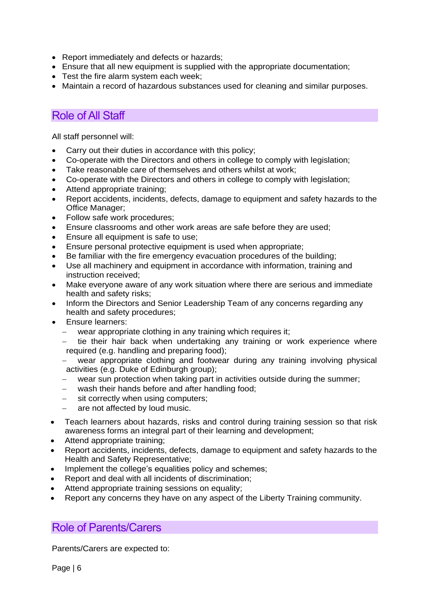- Report immediately and defects or hazards;
- Ensure that all new equipment is supplied with the appropriate documentation;
- Test the fire alarm system each week;
- Maintain a record of hazardous substances used for cleaning and similar purposes.

#### <span id="page-6-0"></span>Role of All Staff

All staff personnel will:

- Carry out their duties in accordance with this policy;
- Co-operate with the Directors and others in college to comply with legislation;
- Take reasonable care of themselves and others whilst at work;
- Co-operate with the Directors and others in college to comply with legislation;
- Attend appropriate training;
- Report accidents, incidents, defects, damage to equipment and safety hazards to the Office Manager;
- Follow safe work procedures;
- Ensure classrooms and other work areas are safe before they are used;
- Ensure all equipment is safe to use;
- Ensure personal protective equipment is used when appropriate;
- Be familiar with the fire emergency evacuation procedures of the building;
- Use all machinery and equipment in accordance with information, training and instruction received;
- Make everyone aware of any work situation where there are serious and immediate health and safety risks;
- Inform the Directors and Senior Leadership Team of any concerns regarding any health and safety procedures;
- Ensure learners:
	- wear appropriate clothing in any training which requires it;
	- tie their hair back when undertaking any training or work experience where required (e.g. handling and preparing food);
	- wear appropriate clothing and footwear during any training involving physical activities (e.g. Duke of Edinburgh group);
	- wear sun protection when taking part in activities outside during the summer;
	- − wash their hands before and after handling food;
	- − sit correctly when using computers;
	- − are not affected by loud music.
- Teach learners about hazards, risks and control during training session so that risk awareness forms an integral part of their learning and development;
- Attend appropriate training:
- Report accidents, incidents, defects, damage to equipment and safety hazards to the Health and Safety Representative;
- Implement the college's equalities policy and schemes;
- Report and deal with all incidents of discrimination;
- Attend appropriate training sessions on equality;
- Report any concerns they have on any aspect of the Liberty Training community.

#### <span id="page-6-1"></span>Role of Parents/Carers

Parents/Carers are expected to: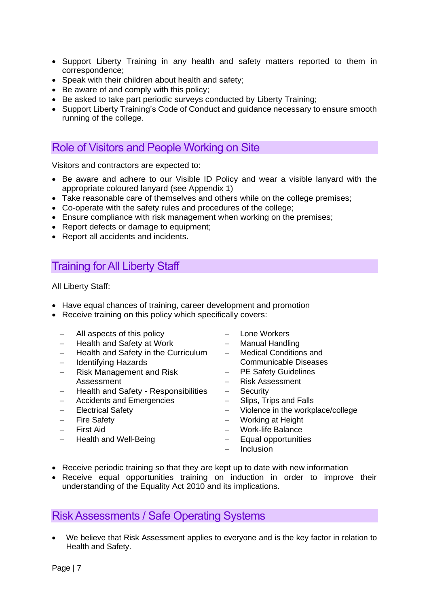- Support Liberty Training in any health and safety matters reported to them in correspondence;
- Speak with their children about health and safety;
- Be aware of and comply with this policy;
- Be asked to take part periodic surveys conducted by Liberty Training;
- Support Liberty Training's Code of Conduct and guidance necessary to ensure smooth running of the college.

#### <span id="page-7-0"></span>Role of Visitors and People Working on Site

Visitors and contractors are expected to:

- Be aware and adhere to our Visible ID Policy and wear a visible lanyard with the appropriate coloured lanyard (see Appendix 1)
- Take reasonable care of themselves and others while on the college premises:
- Co-operate with the safety rules and procedures of the college;
- Ensure compliance with risk management when working on the premises;
- Report defects or damage to equipment;
- Report all accidents and incidents.

## <span id="page-7-1"></span>Training for All Liberty Staff

All Liberty Staff:

- Have equal chances of training, career development and promotion
- Receive training on this policy which specifically covers:
	- − All aspects of this policy
	- − Health and Safety at Work
	- − Health and Safety in the Curriculum
	- − Identifying Hazards
	- − Risk Management and Risk Assessment
	- − Health and Safety Responsibilities
	- − Accidents and Emergencies
	- − Electrical Safety
	- − Fire Safety
	- − First Aid
	- − Health and Well-Being
- − Lone Workers
- − Manual Handling
- − Medical Conditions and Communicable Diseases
- PE Safety Guidelines
- − Risk Assessment
- − Security
- Slips, Trips and Falls
- − Violence in the workplace/college
- − Working at Height
- − Work-life Balance
- − Equal opportunities
- − Inclusion
- Receive periodic training so that they are kept up to date with new information
- Receive equal opportunities training on induction in order to improve their understanding of the Equality Act 2010 and its implications.

#### <span id="page-7-2"></span>Risk Assessments / Safe Operating Systems

• We believe that Risk Assessment applies to everyone and is the key factor in relation to Health and Safety.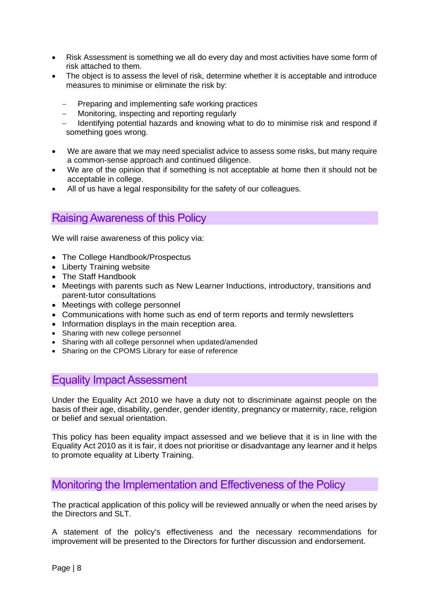- Risk Assessment is something we all do every day and most activities have some form of risk attached to them.
- The obiect is to assess the level of risk, determine whether it is acceptable and introduce measures to minimise or eliminate the risk by:
	- Preparing and implementing safe working practices
	- − Monitoring, inspecting and reporting regularly
	- − Identifying potential hazards and knowing what to do to minimise risk and respond if something goes wrong.
- We are aware that we may need specialist advice to assess some risks, but many require a common-sense approach and continued diligence.
- We are of the opinion that if something is not acceptable at home then it should not be acceptable in college.
- All of us have a legal responsibility for the safety of our colleagues.

#### <span id="page-8-0"></span>Raising Awareness of this Policy

We will raise awareness of this policy via:

- The College Handbook/Prospectus
- Liberty Training website
- The Staff Handbook
- Meetings with parents such as New Learner Inductions, introductory, transitions and parent-tutor consultations
- Meetings with college personnel
- Communications with home such as end of term reports and termly newsletters
- Information displays in the main reception area.
- Sharing with new college personnel
- Sharing with all college personnel when updated/amended
- Sharing on the CPOMS Library for ease of reference

#### <span id="page-8-1"></span>Equality Impact Assessment

Under the Equality Act 2010 we have a duty not to discriminate against people on the basis of their age, disability, gender, gender identity, pregnancy or maternity, race, religion or belief and sexual orientation.

This policy has been equality impact assessed and we believe that it is in line with the Equality Act 2010 as it is fair, it does not prioritise or disadvantage any learner and it helps to promote equality at Liberty Training.

#### <span id="page-8-2"></span>Monitoring the Implementation and Effectiveness of the Policy

The practical application of this policy will be reviewed annually or when the need arises by the Directors and SLT.

A statement of the policy's effectiveness and the necessary recommendations for improvement will be presented to the Directors for further discussion and endorsement.